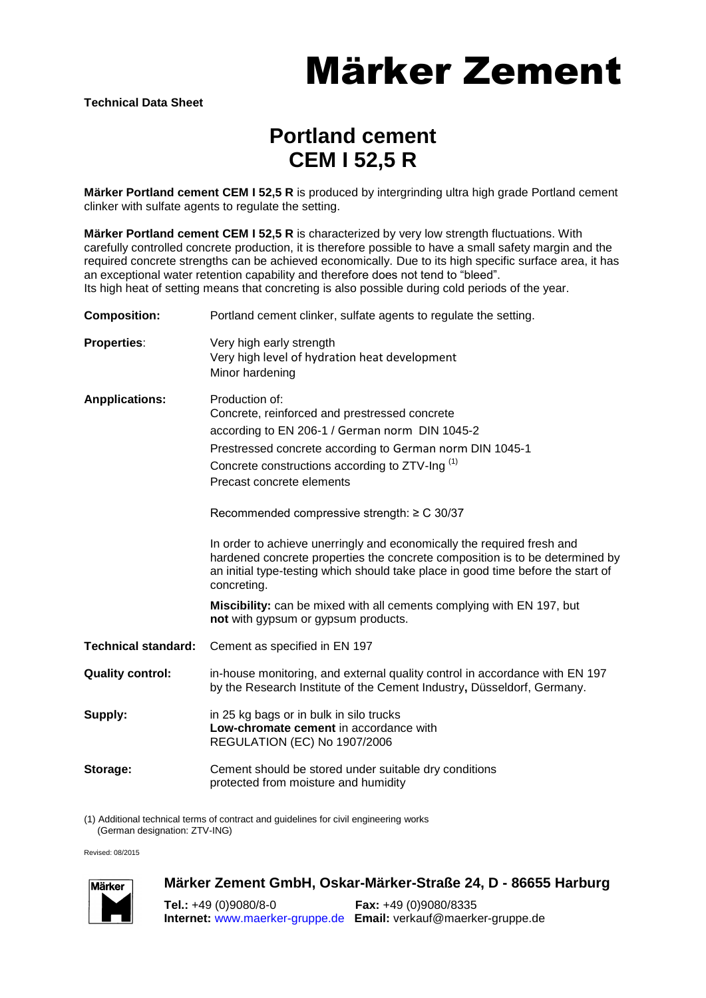# Märker Zement

### **Portland cement CEM I 52,5 R**

**Märker Portland cement CEM I 52,5 R** is produced by intergrinding ultra high grade Portland cement clinker with sulfate agents to regulate the setting.

**Märker Portland cement CEM I 52,5 R** is characterized by very low strength fluctuations. With carefully controlled concrete production, it is therefore possible to have a small safety margin and the required concrete strengths can be achieved economically. Due to its high specific surface area, it has an exceptional water retention capability and therefore does not tend to "bleed". Its high heat of setting means that concreting is also possible during cold periods of the year.

| <b>Composition:</b>        | Portland cement clinker, sulfate agents to regulate the setting.                                                                                                                                                                                                                                                                                                                                                                                                                                                                                                                                                                                                                                          |
|----------------------------|-----------------------------------------------------------------------------------------------------------------------------------------------------------------------------------------------------------------------------------------------------------------------------------------------------------------------------------------------------------------------------------------------------------------------------------------------------------------------------------------------------------------------------------------------------------------------------------------------------------------------------------------------------------------------------------------------------------|
| <b>Properties:</b>         | Very high early strength<br>Very high level of hydration heat development<br>Minor hardening                                                                                                                                                                                                                                                                                                                                                                                                                                                                                                                                                                                                              |
| <b>Anpplications:</b>      | Production of:<br>Concrete, reinforced and prestressed concrete<br>according to EN 206-1 / German norm DIN 1045-2<br>Prestressed concrete according to German norm DIN 1045-1<br>Concrete constructions according to ZTV-Ing <sup>(1)</sup><br>Precast concrete elements<br>Recommended compressive strength: $\geq$ C 30/37<br>In order to achieve unerringly and economically the required fresh and<br>hardened concrete properties the concrete composition is to be determined by<br>an initial type-testing which should take place in good time before the start of<br>concreting.<br>Miscibility: can be mixed with all cements complying with EN 197, but<br>not with gypsum or gypsum products. |
| <b>Technical standard:</b> | Cement as specified in EN 197                                                                                                                                                                                                                                                                                                                                                                                                                                                                                                                                                                                                                                                                             |
| <b>Quality control:</b>    | in-house monitoring, and external quality control in accordance with EN 197<br>by the Research Institute of the Cement Industry, Düsseldorf, Germany.                                                                                                                                                                                                                                                                                                                                                                                                                                                                                                                                                     |
| Supply:                    | in 25 kg bags or in bulk in silo trucks<br>Low-chromate cement in accordance with<br>REGULATION (EC) No 1907/2006                                                                                                                                                                                                                                                                                                                                                                                                                                                                                                                                                                                         |
| Storage:                   | Cement should be stored under suitable dry conditions<br>protected from moisture and humidity                                                                                                                                                                                                                                                                                                                                                                                                                                                                                                                                                                                                             |

(1) Additional technical terms of contract and guidelines for civil engineering works (German designation: ZTV-ING)

Revised: 08/2015



### **Märker Zement GmbH, Oskar-Märker-Straße 24, D - 86655 Harburg**

**Tel.:** +49 (0)9080/8-0 **Fax:** +49 (0)9080/8335 **Internet:** [www.maerker-gruppe.de](http://www.maerker-gruppe.de/) **Email:** verkauf@maerker-gruppe.de